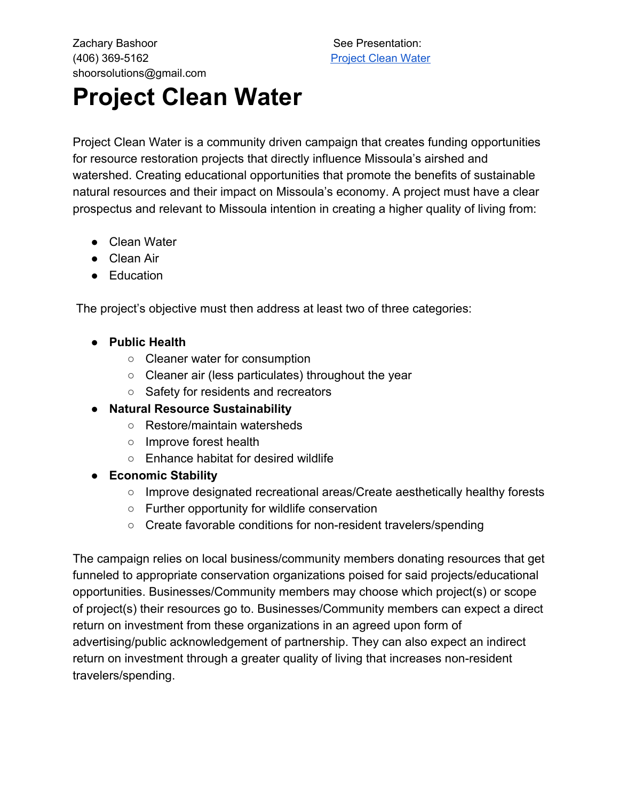Zachary Bashoor See Presentation: (406) 369-5162 [Project](https://prezi.com/view/UkjHYdx8EvvWhgGEmUN4) Clean Water shoorsolutions@gmail.com

## **Project Clean Water**

Project Clean Water is a community driven campaign that creates funding opportunities for resource restoration projects that directly influence Missoula's airshed and watershed. Creating educational opportunities that promote the benefits of sustainable natural resources and their impact on Missoula's economy. A project must have a clear prospectus and relevant to Missoula intention in creating a higher quality of living from:

- Clean Water
- Clean Air
- Education

The project's objective must then address at least two of three categories:

- **● Public Health**
	- Cleaner water for consumption
	- Cleaner air (less particulates) throughout the year
	- Safety for residents and recreators
- **● Natural Resource Sustainability**
	- Restore/maintain watersheds
	- Improve forest health
	- Enhance habitat for desired wildlife
- **● Economic Stability**
	- Improve designated recreational areas/Create aesthetically healthy forests
	- Further opportunity for wildlife conservation
	- Create favorable conditions for non-resident travelers/spending

The campaign relies on local business/community members donating resources that get funneled to appropriate conservation organizations poised for said projects/educational opportunities. Businesses/Community members may choose which project(s) or scope of project(s) their resources go to. Businesses/Community members can expect a direct return on investment from these organizations in an agreed upon form of advertising/public acknowledgement of partnership. They can also expect an indirect return on investment through a greater quality of living that increases non-resident travelers/spending.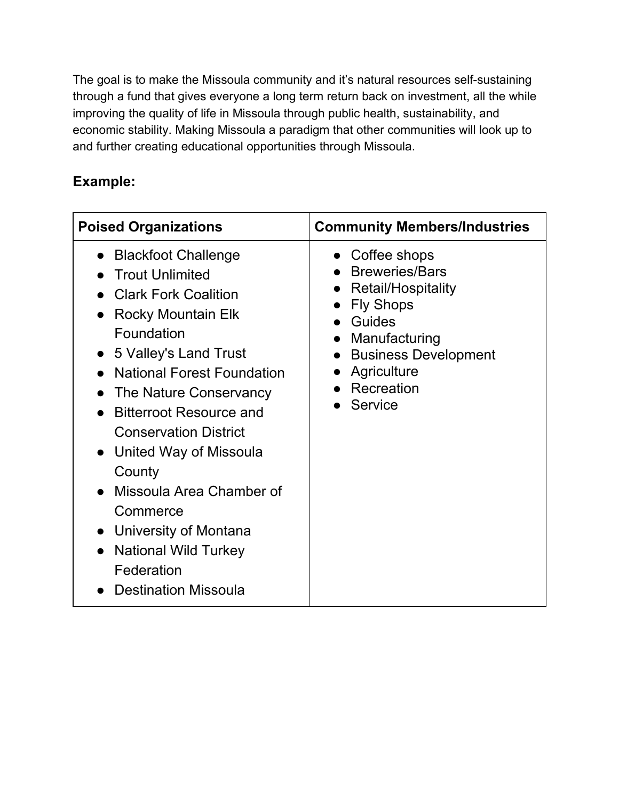The goal is to make the Missoula community and it's natural resources self-sustaining through a fund that gives everyone a long term return back on investment, all the while improving the quality of life in Missoula through public health, sustainability, and economic stability. Making Missoula a paradigm that other communities will look up to and further creating educational opportunities through Missoula.

## **Example:**

| <b>Poised Organizations</b>                                                                                                                                                                                                                                                                                                                                                                                                                                                                                                                               | <b>Community Members/Industries</b>                                                                                                                                                         |  |
|-----------------------------------------------------------------------------------------------------------------------------------------------------------------------------------------------------------------------------------------------------------------------------------------------------------------------------------------------------------------------------------------------------------------------------------------------------------------------------------------------------------------------------------------------------------|---------------------------------------------------------------------------------------------------------------------------------------------------------------------------------------------|--|
| <b>Blackfoot Challenge</b><br>$\bullet$<br><b>Trout Unlimited</b><br><b>Clark Fork Coalition</b><br><b>Rocky Mountain Elk</b><br>Foundation<br>• 5 Valley's Land Trust<br><b>National Forest Foundation</b><br>The Nature Conservancy<br>$\bullet$<br><b>Bitterroot Resource and</b><br>$\bullet$<br><b>Conservation District</b><br>United Way of Missoula<br>$\bullet$<br>County<br>Missoula Area Chamber of<br>Commerce<br>University of Montana<br>$\bullet$<br><b>National Wild Turkey</b><br>$\bullet$<br>Federation<br><b>Destination Missoula</b> | $\bullet$ Coffee shops<br><b>Breweries/Bars</b><br>Retail/Hospitality<br><b>Fly Shops</b><br>Guides<br>Manufacturing<br><b>Business Development</b><br>Agriculture<br>Recreation<br>Service |  |